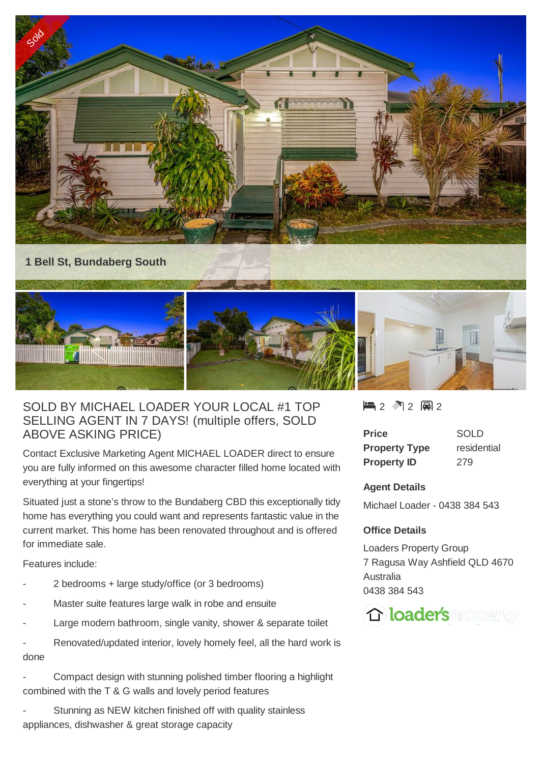



## SOLD BY MICHAEL LOADER YOUR LOCAL #1 TOP SELLING AGENT IN 7 DAYS! (multiple offers, SOLD ABOVE ASKING PRICE)

Contact Exclusive Marketing Agent MICHAEL LOADER direct to ensure you are fully informed on this awesome character filled home located with everything at your fingertips!

Situated just a stone's throw to the Bundaberg CBD this exceptionally tidy home has everything you could want and represents fantastic value in the current market. This home has been renovated throughout and is offered for immediate sale.

Features include:

- 2 bedrooms + large study/office (or 3 bedrooms)
- Master suite features large walk in robe and ensuite
- Large modern bathroom, single vanity, shower & separate toilet
- Renovated/updated interior, lovely homely feel, all the hard work is done
- Compact design with stunning polished timber flooring a highlight combined with the T & G walls and lovely period features
- Stunning as NEW kitchen finished off with quality stainless appliances, dishwasher & great storage capacity

 $2 2 2 2 2 2 2$ 

| <b>Price</b>         | SOLD        |
|----------------------|-------------|
| <b>Property Type</b> | residential |
| <b>Property ID</b>   | 279         |

## **Agent Details**

Michael Loader - 0438 384 543

## **Office Details**

Loaders Property Group 7 Ragusa Way Ashfield QLD 4670 Australia 0438 384 543

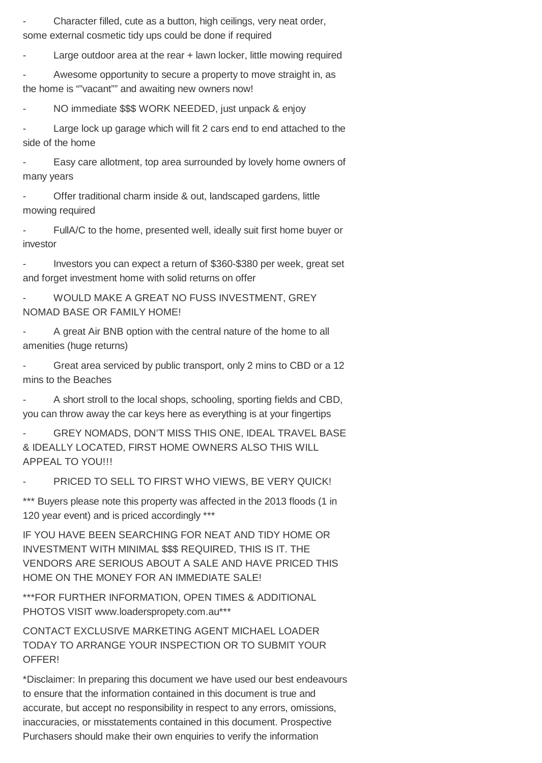Character filled, cute as a button, high ceilings, very neat order, some external cosmetic tidy ups could be done if required

Large outdoor area at the rear  $+$  lawn locker, little mowing required

Awesome opportunity to secure a property to move straight in, as the home is ""vacant"" and awaiting new owners now!

NO immediate \$\$\$ WORK NEEDED, just unpack & enjoy

Large lock up garage which will fit 2 cars end to end attached to the side of the home

Easy care allotment, top area surrounded by lovely home owners of many years

Offer traditional charm inside & out, landscaped gardens, little mowing required

FullA/C to the home, presented well, ideally suit first home buyer or investor

Investors you can expect a return of \$360-\$380 per week, great set and forget investment home with solid returns on offer

WOULD MAKE A GREAT NO FUSS INVESTMENT, GREY NOMAD BASE OR FAMILY HOME!

A great Air BNB option with the central nature of the home to all amenities (huge returns)

Great area serviced by public transport, only 2 mins to CBD or a 12 mins to the Beaches

A short stroll to the local shops, schooling, sporting fields and CBD, you can throw away the car keys here as everything is at your fingertips

- GREY NOMADS, DON'T MISS THIS ONE, IDEAL TRAVEL BASE & IDEALLY LOCATED, FIRST HOME OWNERS ALSO THIS WILL APPEAL TO YOU!!!

PRICED TO SELL TO FIRST WHO VIEWS, BE VERY QUICK!

\*\*\* Buyers please note this property was affected in the 2013 floods (1 in 120 year event) and is priced accordingly \*\*\*

IF YOU HAVE BEEN SEARCHING FOR NEAT AND TIDY HOME OR INVESTMENT WITH MINIMAL \$\$\$ REQUIRED, THIS IS IT. THE VENDORS ARE SERIOUS ABOUT A SALE AND HAVE PRICED THIS HOME ON THE MONEY FOR AN IMMEDIATE SALE!

\*\*\*FOR FURTHER INFORMATION, OPEN TIMES & ADDITIONAL PHOTOS VISIT www.loaderspropety.com.au\*\*\*

CONTACT EXCLUSIVE MARKETING AGENT MICHAEL LOADER TODAY TO ARRANGE YOUR INSPECTION OR TO SUBMIT YOUR OFFER!

\*Disclaimer: In preparing this document we have used our best endeavours to ensure that the information contained in this document is true and accurate, but accept no responsibility in respect to any errors, omissions, inaccuracies, or misstatements contained in this document. Prospective Purchasers should make their own enquiries to verify the information